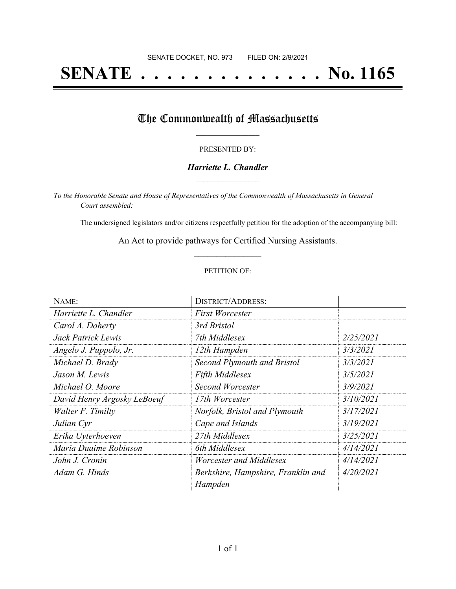# **SENATE . . . . . . . . . . . . . . No. 1165**

## The Commonwealth of Massachusetts

#### PRESENTED BY:

#### *Harriette L. Chandler* **\_\_\_\_\_\_\_\_\_\_\_\_\_\_\_\_\_**

*To the Honorable Senate and House of Representatives of the Commonwealth of Massachusetts in General Court assembled:*

The undersigned legislators and/or citizens respectfully petition for the adoption of the accompanying bill:

An Act to provide pathways for Certified Nursing Assistants. **\_\_\_\_\_\_\_\_\_\_\_\_\_\_\_**

#### PETITION OF:

| NAME:                       | <b>DISTRICT/ADDRESS:</b>                      |           |
|-----------------------------|-----------------------------------------------|-----------|
| Harriette L. Chandler       | <b>First Worcester</b>                        |           |
| Carol A. Doherty            | 3rd Bristol                                   |           |
| Jack Patrick Lewis          | 7th Middlesex                                 | 2/25/2021 |
| Angelo J. Puppolo, Jr.      | 12th Hampden                                  | 3/3/2021  |
| Michael D. Brady            | Second Plymouth and Bristol                   | 3/3/2021  |
| Jason M. Lewis              | <b>Fifth Middlesex</b>                        | 3/5/2021  |
| Michael O. Moore            | Second Worcester                              | 3/9/2021  |
| David Henry Argosky LeBoeuf | 17th Worcester                                | 3/10/2021 |
| Walter F. Timilty           | Norfolk, Bristol and Plymouth                 | 3/17/2021 |
| Julian Cyr                  | Cape and Islands                              | 3/19/2021 |
| Erika Uyterhoeven           | 27th Middlesex                                | 3/25/2021 |
| Maria Duaime Robinson       | 6th Middlesex                                 | 4/14/2021 |
| John J. Cronin              | Worcester and Middlesex                       | 4/14/2021 |
| Adam G. Hinds               | Berkshire, Hampshire, Franklin and<br>Hampden | 4/20/2021 |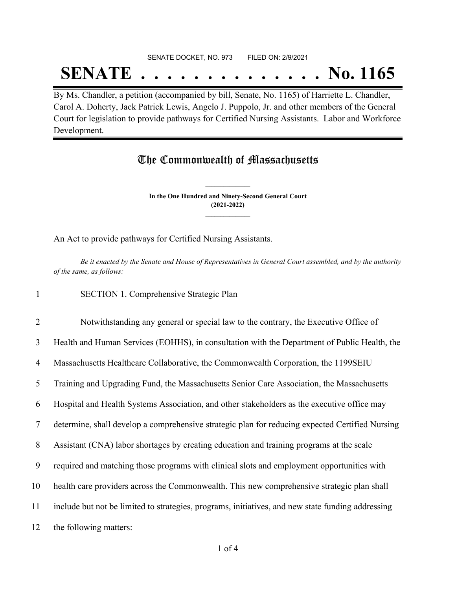#### SENATE DOCKET, NO. 973 FILED ON: 2/9/2021

## **SENATE . . . . . . . . . . . . . . No. 1165**

By Ms. Chandler, a petition (accompanied by bill, Senate, No. 1165) of Harriette L. Chandler, Carol A. Doherty, Jack Patrick Lewis, Angelo J. Puppolo, Jr. and other members of the General Court for legislation to provide pathways for Certified Nursing Assistants. Labor and Workforce Development.

## The Commonwealth of Massachusetts

**In the One Hundred and Ninety-Second General Court (2021-2022) \_\_\_\_\_\_\_\_\_\_\_\_\_\_\_**

**\_\_\_\_\_\_\_\_\_\_\_\_\_\_\_**

An Act to provide pathways for Certified Nursing Assistants.

Be it enacted by the Senate and House of Representatives in General Court assembled, and by the authority *of the same, as follows:*

1 SECTION 1. Comprehensive Strategic Plan

 Notwithstanding any general or special law to the contrary, the Executive Office of Health and Human Services (EOHHS), in consultation with the Department of Public Health, the Massachusetts Healthcare Collaborative, the Commonwealth Corporation, the 1199SEIU Training and Upgrading Fund, the Massachusetts Senior Care Association, the Massachusetts Hospital and Health Systems Association, and other stakeholders as the executive office may determine, shall develop a comprehensive strategic plan for reducing expected Certified Nursing Assistant (CNA) labor shortages by creating education and training programs at the scale required and matching those programs with clinical slots and employment opportunities with health care providers across the Commonwealth. This new comprehensive strategic plan shall include but not be limited to strategies, programs, initiatives, and new state funding addressing the following matters: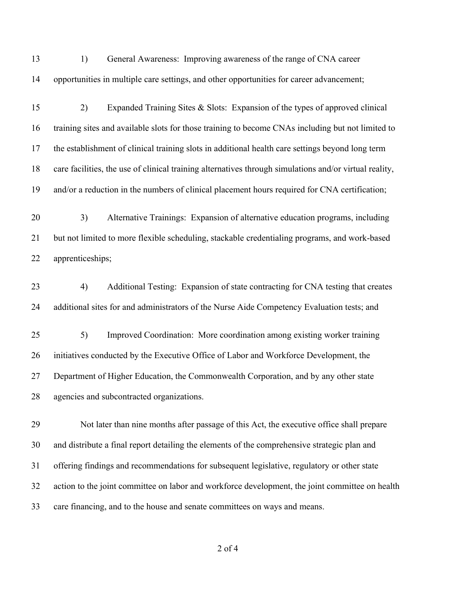1) General Awareness: Improving awareness of the range of CNA career opportunities in multiple care settings, and other opportunities for career advancement;

 2) Expanded Training Sites & Slots: Expansion of the types of approved clinical training sites and available slots for those training to become CNAs including but not limited to the establishment of clinical training slots in additional health care settings beyond long term care facilities, the use of clinical training alternatives through simulations and/or virtual reality, and/or a reduction in the numbers of clinical placement hours required for CNA certification;

 3) Alternative Trainings: Expansion of alternative education programs, including but not limited to more flexible scheduling, stackable credentialing programs, and work-based apprenticeships;

 4) Additional Testing: Expansion of state contracting for CNA testing that creates additional sites for and administrators of the Nurse Aide Competency Evaluation tests; and

 5) Improved Coordination: More coordination among existing worker training initiatives conducted by the Executive Office of Labor and Workforce Development, the Department of Higher Education, the Commonwealth Corporation, and by any other state agencies and subcontracted organizations.

 Not later than nine months after passage of this Act, the executive office shall prepare and distribute a final report detailing the elements of the comprehensive strategic plan and offering findings and recommendations for subsequent legislative, regulatory or other state action to the joint committee on labor and workforce development, the joint committee on health care financing, and to the house and senate committees on ways and means.

of 4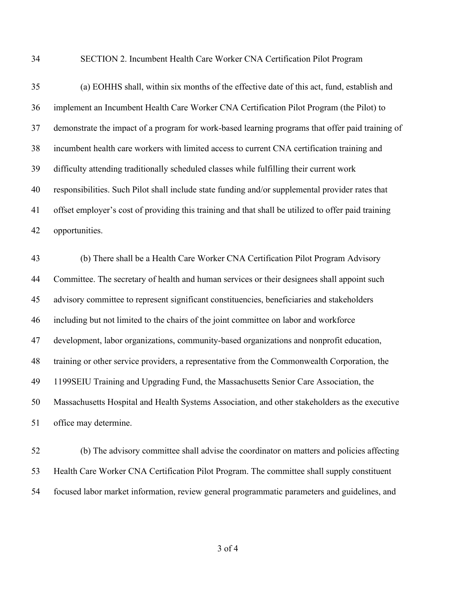#### SECTION 2. Incumbent Health Care Worker CNA Certification Pilot Program

 (a) EOHHS shall, within six months of the effective date of this act, fund, establish and implement an Incumbent Health Care Worker CNA Certification Pilot Program (the Pilot) to demonstrate the impact of a program for work-based learning programs that offer paid training of incumbent health care workers with limited access to current CNA certification training and difficulty attending traditionally scheduled classes while fulfilling their current work responsibilities. Such Pilot shall include state funding and/or supplemental provider rates that offset employer's cost of providing this training and that shall be utilized to offer paid training opportunities.

 (b) There shall be a Health Care Worker CNA Certification Pilot Program Advisory Committee. The secretary of health and human services or their designees shall appoint such advisory committee to represent significant constituencies, beneficiaries and stakeholders including but not limited to the chairs of the joint committee on labor and workforce development, labor organizations, community-based organizations and nonprofit education, training or other service providers, a representative from the Commonwealth Corporation, the 1199SEIU Training and Upgrading Fund, the Massachusetts Senior Care Association, the Massachusetts Hospital and Health Systems Association, and other stakeholders as the executive office may determine.

 (b) The advisory committee shall advise the coordinator on matters and policies affecting Health Care Worker CNA Certification Pilot Program. The committee shall supply constituent focused labor market information, review general programmatic parameters and guidelines, and